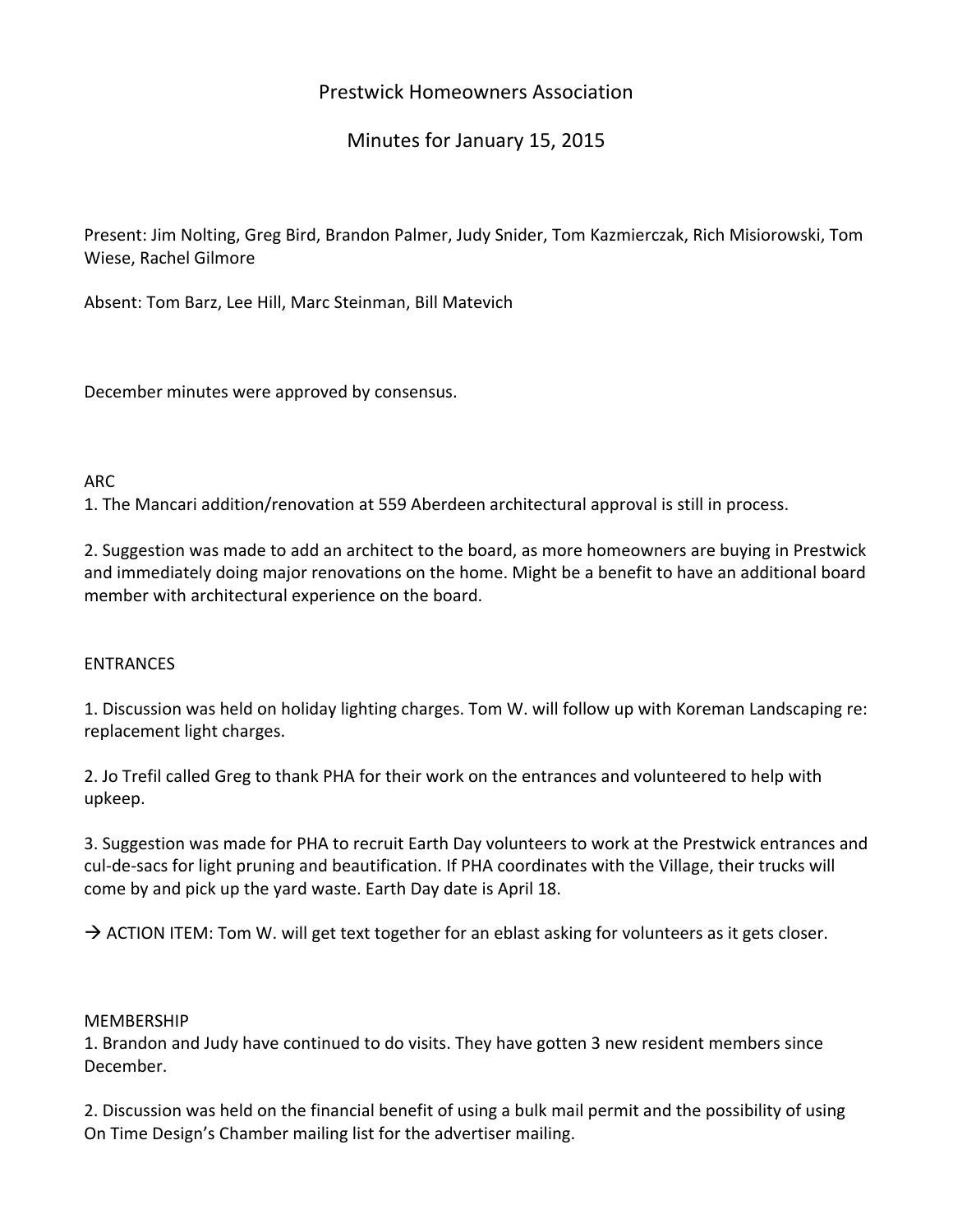# Prestwick Homeowners Association

# Minutes for January 15, 2015

Present: Jim Nolting, Greg Bird, Brandon Palmer, Judy Snider, Tom Kazmierczak, Rich Misiorowski, Tom Wiese, Rachel Gilmore

Absent: Tom Barz, Lee Hill, Marc Steinman, Bill Matevich

December minutes were approved by consensus.

## ARC

1. The Mancari addition/renovation at 559 Aberdeen architectural approval is still in process.

2. Suggestion was made to add an architect to the board, as more homeowners are buying in Prestwick and immediately doing major renovations on the home. Might be a benefit to have an additional board member with architectural experience on the board.

### ENTRANCES

1. Discussion was held on holiday lighting charges. Tom W. will follow up with Koreman Landscaping re: replacement light charges.

2. Jo Trefil called Greg to thank PHA for their work on the entrances and volunteered to help with upkeep.

3. Suggestion was made for PHA to recruit Earth Day volunteers to work at the Prestwick entrances and cul‐de‐sacs for light pruning and beautification. If PHA coordinates with the Village, their trucks will come by and pick up the yard waste. Earth Day date is April 18.

 $\rightarrow$  ACTION ITEM: Tom W. will get text together for an eblast asking for volunteers as it gets closer.

### MEMBERSHIP

1. Brandon and Judy have continued to do visits. They have gotten 3 new resident members since December.

2. Discussion was held on the financial benefit of using a bulk mail permit and the possibility of using On Time Design's Chamber mailing list for the advertiser mailing.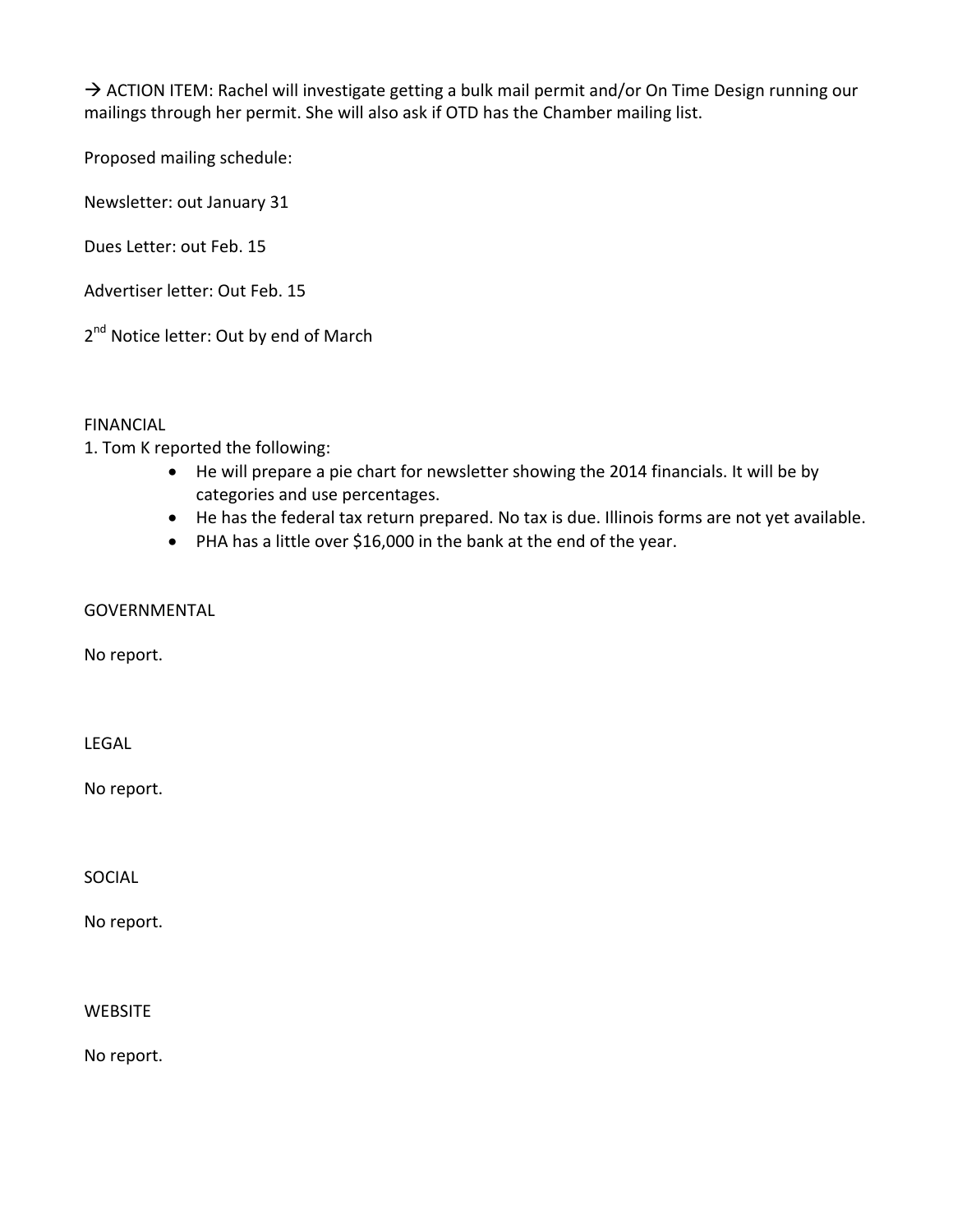$\rightarrow$  ACTION ITEM: Rachel will investigate getting a bulk mail permit and/or On Time Design running our mailings through her permit. She will also ask if OTD has the Chamber mailing list.

Proposed mailing schedule:

Newsletter: out January 31

Dues Letter: out Feb. 15

Advertiser letter: Out Feb. 15

2<sup>nd</sup> Notice letter: Out by end of March

FINANCIAL

1. Tom K reported the following:

- He will prepare a pie chart for newsletter showing the 2014 financials. It will be by categories and use percentages.
- He has the federal tax return prepared. No tax is due. Illinois forms are not yet available.
- PHA has a little over \$16,000 in the bank at the end of the year.

GOVERNMENTAL

No report.

LEGAL

No report.

SOCIAL

No report.

**WEBSITE** 

No report.